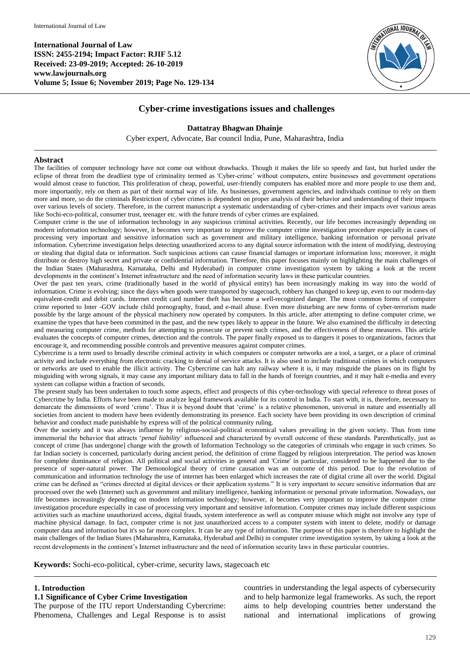**International Journal of Law ISSN: 2455-2194; Impact Factor: RJIF 5.12 Received: 23-09-2019; Accepted: 26-10-2019 www.lawjournals.org Volume 5; Issue 6; November 2019; Page No. 129-134**



# **Cyber-crime investigations issues and challenges**

#### **Dattatray Bhagwan Dhainje**

Cyber expert, Advocate, Bar council India, Pune, Maharashtra, India

#### **Abstract**

The facilities of computer technology have not come out without drawbacks. Though it makes the life so speedy and fast, but hurled under the eclipse of threat from the deadliest type of criminality termed as 'Cyber-crime' without computers, entire businesses and government operations would almost cease to function. This proliferation of cheap, powerful, user-friendly computers has enabled more and more people to use them and, more importantly, rely on them as part of their normal way of life. As businesses, government agencies, and individuals continue to rely on them more and more, so do the criminals Restriction of cyber crimes is dependent on proper analysis of their behavior and understanding of their impacts over various levels of society. Therefore, in the current manuscript a systematic understanding of cyber-crimes and their impacts over various areas like Sochi-eco-political, consumer trust, teenager etc. with the future trends of cyber crimes are explained.

Computer crime is the use of information technology in any suspicious criminal activities. Recently, our life becomes increasingly depending on modern information technology; however, it becomes very important to improve the computer crime investigation procedure especially in cases of processing very important and sensitive information such as government and military intelligence, banking information or personal private information. Cybercrime investigation helps detecting unauthorized access to any digital source information with the intent of modifying, destroying or stealing that digital data or information. Such suspicious actions can cause financial damages or important information loss; moreover, it might distribute or destroy high secret and private or confidential information. Therefore, this paper focuses mainly on highlighting the main challenges of the Indian States (Maharashtra, Karnataka, Delhi and Hyderabad) in computer crime investigation system by taking a look at the recent developments in the continent's Internet infrastructure and the need of information security laws in these particular countries.

Over the past ten years, crime (traditionally based in the world of physical entity) has been increasingly making its way into the world of information. Crime is evolving; since the days when goods were transported by stagecoach, robbery has changed to keep up, even to our modern-day equivalent-credit and debit cards. Internet credit card number theft has become a well-recognized danger. The most common forms of computer crime reported to Inter -GOV include child pornography, fraud, and e-mail abuse. Even more disturbing are new forms of cyber-terrorism made possible by the large amount of the physical machinery now operated by computers. In this article, after attempting to define computer crime, we examine the types that have been committed in the past, and the new types likely to appear in the future. We also examined the difficulty in detecting and measuring computer crime, methods for attempting to prosecute or prevent such crimes, and the effectiveness of these measures. This article evaluates the concepts of computer crimes, detection and the controls. The paper finally exposed us to dangers it poses to organizations, factors that encourage it, and recommending possible controls and preventive measures against computer crimes.

Cybercrime is a term used to broadly describe criminal activity in which computers or computer networks are a tool, a target, or a place of criminal activity and include everything from electronic cracking to denial of service attacks. It is also used to include traditional crimes in which computers or networks are used to enable the illicit activity. The Cybercrime can halt any railway where it is, it may misguide the planes on its flight by misguiding with wrong signals, it may cause any important military data to fall in the hands of foreign countries, and it may halt e-media and every system can collapse within a fraction of seconds.

The present study has been undertaken to touch some aspects, effect and prospects of this cyber-technology with special reference to threat poses of Cybercrime by India. Efforts have been made to analyze legal framework available for its control in India. To start with, it is, therefore, necessary to demarcate the dimensions of word 'crime'. Thus it is beyond doubt that 'crime' is a relative phenomenon, universal in nature and essentially all societies from ancient to modern have been evidently demonstrating its presence. Each society have been providing its own description of criminal behavior and conduct made punishable by express will of the political community ruling.

Over the society and it was always influence by religious-social-political economical values prevailing in the given society. Thus from time immemorial the behavior that attracts '*penal liability*' influenced and characterized by overall outcome of these standards. Parenthetically, just as concept of crime [has undergone] change with the growth of Information Technology so the categories of criminals who engage in such crimes. So far Indian society is concerned, particularly during ancient period, the definition of crime flagged by religious interpretation. The period was known for complete dominance of religion. All political and social activities in general and 'Crime' in particular, considered to be happened due to the presence of super-natural power. The Demonological theory of crime causation was an outcome of this period. Due to the revolution of communication and information technology the use of internet has been enlarged which increases the rate of digital crime all over the world. Digital crime can be defined as "crimes directed at digital devices or their application systems." It is very important to secure sensitive information that are processed over the web (Internet) such as government and military intelligence, banking information or personal private information. Nowadays, our life becomes increasingly depending on modern information technology; however, it becomes very important to improve the computer crime investigation procedure especially in case of processing very important and sensitive information. Computer crimes may include different suspicious activities such as machine unauthorized access, digital frauds, system interference as well as computer misuse which might not involve any type of machine physical damage. In fact, computer crime is not just unauthorized access to a computer system with intent to delete, modify or damage computer data and information but it's so far more complex. It can be any type of information. The purpose of this paper is therefore to highlight the main challenges of the Indian States (Maharashtra, Karnataka, Hyderabad and Delhi) in computer crime investigation system, by taking a look at the recent developments in the continent's Internet infrastructure and the need of information security laws in these particular countries.

**Keywords:** Sochi-eco-political, cyber-crime, security laws, stagecoach etc

#### **1. Introduction**

#### **1.1 Significance of Cyber Crime Investigation**

The purpose of the ITU report Understanding Cybercrime: Phenomena, Challenges and Legal Response is to assist countries in understanding the legal aspects of cybersecurity and to help harmonize legal frameworks. As such, the report aims to help developing countries better understand the national and international implications of growing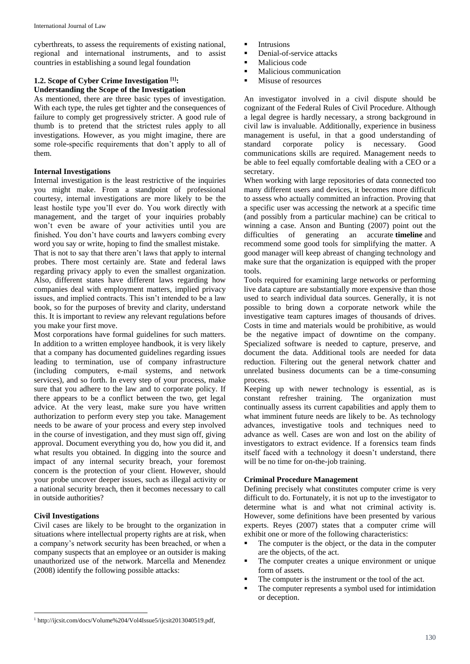cyberthreats, to assess the requirements of existing national, regional and international instruments, and to assist countries in establishing a sound legal foundation

## **1.2. Scope of Cyber Crime Investigation [1] : Understanding the Scope of the Investigation**

As mentioned, there are three basic types of investigation. With each type, the rules get tighter and the consequences of failure to comply get progressively stricter. A good rule of thumb is to pretend that the strictest rules apply to all investigations. However, as you might imagine, there are some role-specific requirements that don't apply to all of them.

# **Internal Investigations**

Internal investigation is the least restrictive of the inquiries you might make. From a standpoint of professional courtesy, internal investigations are more likely to be the least hostile type you'll ever do. You work directly with management, and the target of your inquiries probably won't even be aware of your activities until you are finished. You don't have courts and lawyers combing every word you say or write, hoping to find the smallest mistake.

That is not to say that there aren't laws that apply to internal probes. There most certainly are. State and federal laws regarding privacy apply to even the smallest organization. Also, different states have different laws regarding how companies deal with employment matters, implied privacy issues, and implied contracts. This isn't intended to be a law book, so for the purposes of brevity and clarity, understand this. It is important to review any relevant regulations before you make your first move.

Most corporations have formal guidelines for such matters. In addition to a written employee handbook, it is very likely that a company has documented guidelines regarding issues leading to termination, use of company infrastructure (including computers, e-mail systems, and network services), and so forth. In every step of your process, make sure that you adhere to the law and to corporate policy. If there appears to be a conflict between the two, get legal advice. At the very least, make sure you have written authorization to perform every step you take. Management needs to be aware of your process and every step involved in the course of investigation, and they must sign off, giving approval. Document everything you do, how you did it, and what results you obtained. In digging into the source and impact of any internal security breach, your foremost concern is the protection of your client. However, should your probe uncover deeper issues, such as illegal activity or a national security breach, then it becomes necessary to call in outside authorities?

# **Civil Investigations**

Civil cases are likely to be brought to the organization in situations where intellectual property rights are at risk, when a company's network security has been breached, or when a company suspects that an employee or an outsider is making unauthorized use of the network. Marcella and Menendez (2008) identify the following possible attacks:

- Intrusions
- Denial-of-service attacks
- Malicious code
- **Malicious communication**
- **Misuse of resources**

An investigator involved in a civil dispute should be cognizant of the Federal Rules of Civil Procedure. Although a legal degree is hardly necessary, a strong background in civil law is invaluable. Additionally, experience in business management is useful, in that a good understanding of standard corporate policy is necessary. Good communications skills are required. Management needs to be able to feel equally comfortable dealing with a CEO or a secretary.

When working with large repositories of data connected too many different users and devices, it becomes more difficult to assess who actually committed an infraction. Proving that a specific user was accessing the network at a specific time (and possibly from a particular machine) can be critical to winning a case. Anson and Bunting (2007) point out the difficulties of generating an accurate **timeline** and recommend some good tools for simplifying the matter. A good manager will keep abreast of changing technology and make sure that the organization is equipped with the proper tools.

Tools required for examining large networks or performing live data capture are substantially more expensive than those used to search individual data sources. Generally, it is not possible to bring down a corporate network while the investigative team captures images of thousands of drives. Costs in time and materials would be prohibitive, as would be the negative impact of downtime on the company. Specialized software is needed to capture, preserve, and document the data. Additional tools are needed for data reduction. Filtering out the general network chatter and unrelated business documents can be a time-consuming process.

Keeping up with newer technology is essential, as is constant refresher training. The organization must continually assess its current capabilities and apply them to what imminent future needs are likely to be. As technology advances, investigative tools and techniques need to advance as well. Cases are won and lost on the ability of investigators to extract evidence. If a forensics team finds itself faced with a technology it doesn't understand, there will be no time for on-the-job training.

# **Criminal Procedure Management**

Defining precisely what constitutes computer crime is very difficult to do. Fortunately, it is not up to the investigator to determine what is and what not criminal activity is. However, some definitions have been presented by various experts. Reyes (2007) states that a computer crime will exhibit one or more of the following characteristics:

- The computer is the object, or the data in the computer are the objects, of the act.
- The computer creates a unique environment or unique form of assets.
- The computer is the instrument or the tool of the act.
- The computer represents a symbol used for intimidation or deception.

 $\overline{a}$ <sup>1</sup> http://ijcsit.com/docs/Volume%204/Vol4Issue5/ijcsit2013040519.pdf,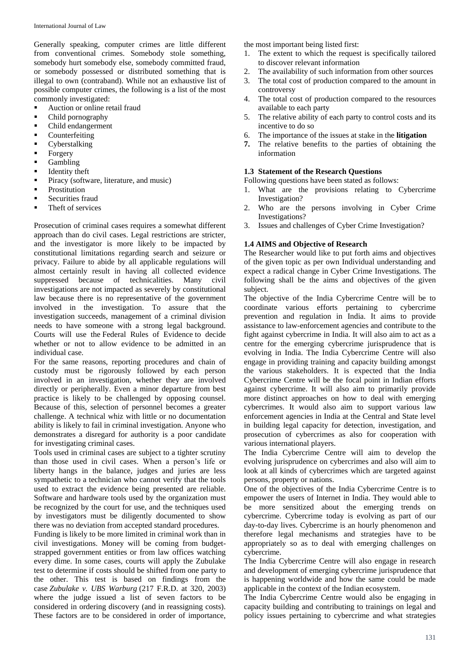Generally speaking, computer crimes are little different from conventional crimes. Somebody stole something, somebody hurt somebody else, somebody committed fraud, or somebody possessed or distributed something that is illegal to own (contraband). While not an exhaustive list of possible computer crimes, the following is a list of the most commonly investigated:

- Auction or online retail fraud
- Child pornography
- Child endangerment
- **Counterfeiting**
- $\bullet$  Cyberstalking
- **Forgery**
- **Gambling**
- $\blacksquare$  Identity theft
- **Piracy (software, literature, and music)**
- **Prostitution**
- **Securities fraud**
- **Theft of services**

Prosecution of criminal cases requires a somewhat different approach than do civil cases. Legal restrictions are stricter, and the investigator is more likely to be impacted by constitutional limitations regarding search and seizure or privacy. Failure to abide by all applicable regulations will almost certainly result in having all collected evidence suppressed because of technicalities. Many civil investigations are not impacted as severely by constitutional law because there is no representative of the government involved in the investigation. To assure that the investigation succeeds, management of a criminal division needs to have someone with a strong legal background. Courts will use the Federal Rules of Evidence to decide whether or not to allow evidence to be admitted in an individual case.

For the same reasons, reporting procedures and chain of custody must be rigorously followed by each person involved in an investigation, whether they are involved directly or peripherally. Even a minor departure from best practice is likely to be challenged by opposing counsel. Because of this, selection of personnel becomes a greater challenge. A technical whiz with little or no documentation ability is likely to fail in criminal investigation. Anyone who demonstrates a disregard for authority is a poor candidate for investigating criminal cases.

Tools used in criminal cases are subject to a tighter scrutiny than those used in civil cases. When a person's life or liberty hangs in the balance, judges and juries are less sympathetic to a technician who cannot verify that the tools used to extract the evidence being presented are reliable. Software and hardware tools used by the organization must be recognized by the court for use, and the techniques used by investigators must be diligently documented to show there was no deviation from accepted standard procedures.

Funding is likely to be more limited in criminal work than in civil investigations. Money will be coming from budgetstrapped government entities or from law offices watching every dime. In some cases, courts will apply the Zubulake test to determine if costs should be shifted from one party to the other. This test is based on findings from the case *Zubulake v. UBS Warburg* (217 F.R.D. at 320, 2003) where the judge issued a list of seven factors to be considered in ordering discovery (and in reassigning costs). These factors are to be considered in order of importance,

the most important being listed first:

- 1. The extent to which the request is specifically tailored to discover relevant information
- 2. The availability of such information from other sources
- 3. The total cost of production compared to the amount in controversy
- 4. The total cost of production compared to the resources available to each party
- 5. The relative ability of each party to control costs and its incentive to do so
- 6. The importance of the issues at stake in the **litigation**
- **7.** The relative benefits to the parties of obtaining the information

#### **1.3 Statement of the Research Questions**

Following questions have been stated as follows:

- 1. What are the provisions relating to Cybercrime Investigation?
- 2. Who are the persons involving in Cyber Crime Investigations?
- 3. Issues and challenges of Cyber Crime Investigation?

### **1.4 AIMS and Objective of Research**

The Researcher would like to put forth aims and objectives of the given topic as per own Individual understanding and expect a radical change in Cyber Crime Investigations. The following shall be the aims and objectives of the given subject.

The objective of the India Cybercrime Centre will be to coordinate various efforts pertaining to cybercrime prevention and regulation in India. It aims to provide assistance to law-enforcement agencies and contribute to the fight against cybercrime in India. It will also aim to act as a centre for the emerging cybercrime jurisprudence that is evolving in India. The India Cybercrime Centre will also engage in providing training and capacity building amongst the various stakeholders. It is expected that the India Cybercrime Centre will be the focal point in Indian efforts against cybercrime. It will also aim to primarily provide more distinct approaches on how to deal with emerging cybercrimes. It would also aim to support various law enforcement agencies in India at the Central and State level in building legal capacity for detection, investigation, and prosecution of cybercrimes as also for cooperation with various international players.

The India Cybercrime Centre will aim to develop the evolving jurisprudence on cybercrimes and also will aim to look at all kinds of cybercrimes which are targeted against persons, property or nations.

One of the objectives of the India Cybercrime Centre is to empower the users of Internet in India. They would able to be more sensitized about the emerging trends on cybercrime. Cybercrime today is evolving as part of our day-to-day lives. Cybercrime is an hourly phenomenon and therefore legal mechanisms and strategies have to be appropriately so as to deal with emerging challenges on cybercrime.

The India Cybercrime Centre will also engage in research and development of emerging cybercrime jurisprudence that is happening worldwide and how the same could be made applicable in the context of the Indian ecosystem.

The India Cybercrime Centre would also be engaging in capacity building and contributing to trainings on legal and policy issues pertaining to cybercrime and what strategies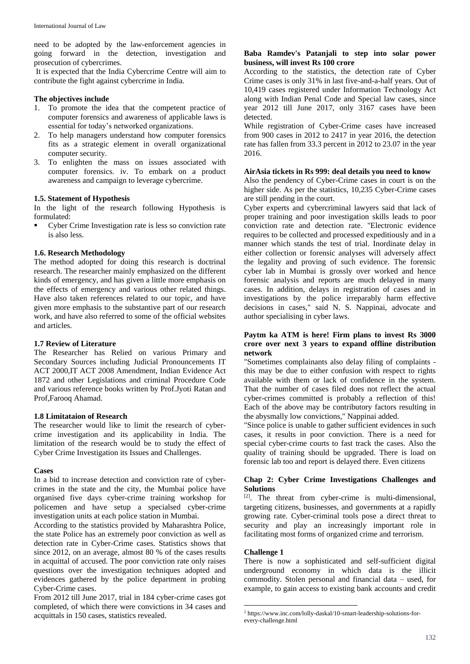need to be adopted by the law-enforcement agencies in going forward in the detection, investigation and prosecution of cybercrimes.

It is expected that the India Cybercrime Centre will aim to contribute the fight against cybercrime in India.

## **The objectives include**

- 1. To promote the idea that the competent practice of computer forensics and awareness of applicable laws is essential for today's networked organizations.
- 2. To help managers understand how computer forensics fits as a strategic element in overall organizational computer security.
- 3. To enlighten the mass on issues associated with computer forensics. iv. To embark on a product awareness and campaign to leverage cybercrime.

# **1.5. Statement of Hypothesis**

In the light of the research following Hypothesis is formulated:

 Cyber Crime Investigation rate is less so conviction rate is also less.

## **1.6. Research Methodology**

The method adopted for doing this research is doctrinal research. The researcher mainly emphasized on the different kinds of emergency, and has given a little more emphasis on the effects of emergency and various other related things. Have also taken references related to our topic, and have given more emphasis to the substantive part of our research work, and have also referred to some of the official websites and articles.

## **1.7 Review of Literature**

The Researcher has Relied on various Primary and Secondary Sources including Judicial Pronouncements IT ACT 2000,IT ACT 2008 Amendment, Indian Evidence Act 1872 and other Legislations and criminal Procedure Code and various reference books written by Prof.Jyoti Ratan and Prof,Farooq Ahamad.

## **1.8 Limitataion of Research**

The researcher would like to limit the research of cybercrime investigation and its applicability in India. The limitation of the research would be to study the effect of Cyber Crime Investigation its Issues and Challenges.

## **Cases**

In a bid to increase detection and conviction rate of cybercrimes in the state and the city, the Mumbai police have organised five days cyber-crime training workshop for policemen and have setup a specialsed cyber-crime investigation units at each police station in Mumbai.

According to the statistics provided by Maharashtra Police, the state Police has an extremely poor conviction as well as detection rate in Cyber-Crime cases. Statistics shows that since 2012, on an average, almost 80 % of the cases results in acquittal of accused. The poor conviction rate only raises questions over the investigation techniques adopted and evidences gathered by the police department in probing Cyber-Crime cases.

From 2012 till June 2017, trial in 184 cyber-crime cases got completed, of which there were convictions in 34 cases and acquittals in 150 cases, statistics revealed.

## **Baba Ramdev's Patanjali to step into solar power business, will invest Rs 100 crore**

According to the statistics, the detection rate of Cyber Crime cases is only 31% in last five-and-a-half years. Out of 10,419 cases registered under Information Technology Act along with Indian Penal Code and Special law cases, since year 2012 till June 2017, only 3167 cases have been detected.

While registration of Cyber-Crime cases have increased from 900 cases in 2012 to 2417 in year 2016, the detection rate has fallen from 33.3 percent in 2012 to 23.07 in the year 2016.

## **AirAsia tickets in Rs 999: deal details you need to know**

Also the pendency of Cyber-Crime cases in court is on the higher side. As per the statistics, 10,235 Cyber-Crime cases are still pending in the court.

Cyber experts and cybercriminal lawyers said that lack of proper training and poor investigation skills leads to poor conviction rate and detection rate. "Electronic evidence requires to be collected and processed expeditiously and in a manner which stands the test of trial. Inordinate delay in either collection or forensic analyses will adversely affect the legality and proving of such evidence. The forensic cyber lab in Mumbai is grossly over worked and hence forensic analysis and reports are much delayed in many cases. In addition, delays in registration of cases and in investigations by the police irreparably harm effective decisions in cases," said N. S. Nappinai, advocate and author specialising in cyber laws.

## **Paytm ka ATM is here! Firm plans to invest Rs 3000 crore over next 3 years to expand offline distribution network**

"Sometimes complainants also delay filing of complaints this may be due to either confusion with respect to rights available with them or lack of confidence in the system. That the number of cases filed does not reflect the actual cyber-crimes committed is probably a reflection of this! Each of the above may be contributory factors resulting in the abysmally low convictions," Nappinai added.

"Since police is unable to gather sufficient evidences in such cases, it results in poor conviction. There is a need for special cyber-crime courts to fast track the cases. Also the quality of training should be upgraded. There is load on forensic lab too and report is delayed there. Even citizens

## **Chap 2: Cyber Crime Investigations Challenges and Solutions**

[2] . The threat from cyber-crime is multi-dimensional, targeting citizens, businesses, and governments at a rapidly growing rate. Cyber-criminal tools pose a direct threat to security and play an increasingly important role in facilitating most forms of organized crime and terrorism.

## **Challenge 1**

**.** 

There is now a sophisticated and self-sufficient digital underground economy in which data is the illicit commodity. Stolen personal and financial data – used, for example, to gain access to existing bank accounts and credit

<sup>2</sup> https://www.inc.com/lolly-daskal/10-smart-leadership-solutions-forevery-challenge.html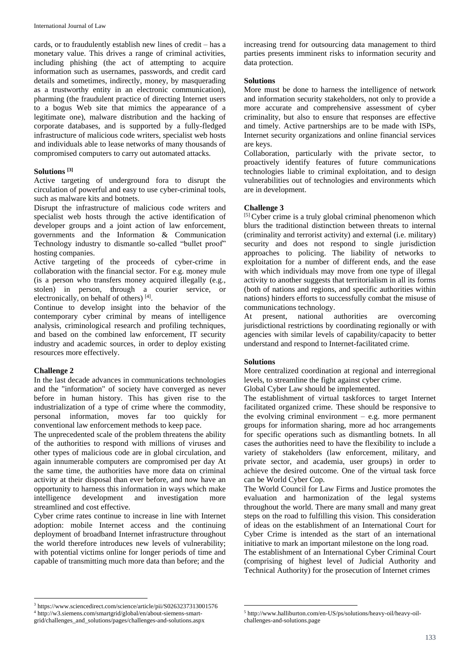cards, or to fraudulently establish new lines of credit – has a monetary value. This drives a range of criminal activities, including phishing (the act of attempting to acquire information such as usernames, passwords, and credit card details and sometimes, indirectly, money, by masquerading as a trustworthy entity in an electronic communication), pharming (the fraudulent practice of directing Internet users to a bogus Web site that mimics the appearance of a legitimate one), malware distribution and the hacking of corporate databases, and is supported by a fully-fledged infrastructure of malicious code writers, specialist web hosts and individuals able to lease networks of many thousands of compromised computers to carry out automated attacks.

#### **Solutions [3]**

Active targeting of underground fora to disrupt the circulation of powerful and easy to use cyber-criminal tools, such as malware kits and botnets.

Disrupt the infrastructure of malicious code writers and specialist web hosts through the active identification of developer groups and a joint action of law enforcement, governments and the Information & Communication Technology industry to dismantle so-called "bullet proof" hosting companies.

Active targeting of the proceeds of cyber-crime in collaboration with the financial sector. For e.g. money mule (is a person who transfers money acquired illegally (e.g., stolen) in person, through a courier service, or electronically, on behalf of others) [4].

Continue to develop insight into the behavior of the contemporary cyber criminal by means of intelligence analysis, criminological research and profiling techniques, and based on the combined law enforcement, IT security industry and academic sources, in order to deploy existing resources more effectively.

#### **Challenge 2**

 $\overline{a}$ 

In the last decade advances in communications technologies and the "information" of society have converged as never before in human history. This has given rise to the industrialization of a type of crime where the commodity, personal information, moves far too quickly for conventional law enforcement methods to keep pace.

The unprecedented scale of the problem threatens the ability of the authorities to respond with millions of viruses and other types of malicious code are in global circulation, and again innumerable computers are compromised per day At the same time, the authorities have more data on criminal activity at their disposal than ever before, and now have an opportunity to harness this information in ways which make intelligence development and investigation more streamlined and cost effective.

Cyber crime rates continue to increase in line with Internet adoption: mobile Internet access and the continuing deployment of broadband Internet infrastructure throughout the world therefore introduces new levels of vulnerability; with potential victims online for longer periods of time and capable of transmitting much more data than before; and the

increasing trend for outsourcing data management to third parties presents imminent risks to information security and data protection.

## **Solutions**

More must be done to harness the intelligence of network and information security stakeholders, not only to provide a more accurate and comprehensive assessment of cyber criminality, but also to ensure that responses are effective and timely. Active partnerships are to be made with ISPs, Internet security organizations and online financial services are keys.

Collaboration, particularly with the private sector, to proactively identify features of future communications technologies liable to criminal exploitation, and to design vulnerabilities out of technologies and environments which are in development.

## **Challenge 3**

[5] Cyber crime is a truly global criminal phenomenon which blurs the traditional distinction between threats to internal (criminality and terrorist activity) and external (i.e. military) security and does not respond to single jurisdiction approaches to policing. The liability of networks to exploitation for a number of different ends, and the ease with which individuals may move from one type of illegal activity to another suggests that territorialism in all its forms (both of nations and regions, and specific authorities within nations) hinders efforts to successfully combat the misuse of communications technology.

At present, national authorities are overcoming jurisdictional restrictions by coordinating regionally or with agencies with similar levels of capability/capacity to better understand and respond to Internet-facilitated crime.

## **Solutions**

**.** 

More centralized coordination at regional and interregional levels, to streamline the fight against cyber crime.

Global Cyber Law should be implemented.

The establishment of virtual taskforces to target Internet facilitated organized crime. These should be responsive to the evolving criminal environment  $-$  e.g. more permanent groups for information sharing, more ad hoc arrangements for specific operations such as dismantling botnets. In all cases the authorities need to have the flexibility to include a variety of stakeholders (law enforcement, military, and private sector, and academia, user groups) in order to achieve the desired outcome. One of the virtual task force can be World Cyber Cop.

The World Council for Law Firms and Justice promotes the evaluation and harmonization of the legal systems throughout the world. There are many small and many great steps on the road to fulfilling this vision. This consideration of ideas on the establishment of an International Court for Cyber Crime is intended as the start of an international initiative to mark an important milestone on the long road.

The establishment of an International Cyber Criminal Court (comprising of highest level of Judicial Authority and Technical Authority) for the prosecution of Internet crimes

<sup>3</sup> https://www.sciencedirect.com/science/article/pii/S0263237313001576

<sup>4</sup> http://w3.siemens.com/smartgrid/global/en/about-siemens-smartgrid/challenges\_and\_solutions/pages/challenges-and-solutions.aspx

<sup>5</sup> http://www.halliburton.com/en-US/ps/solutions/heavy-oil/heavy-oilchallenges-and-solutions.page